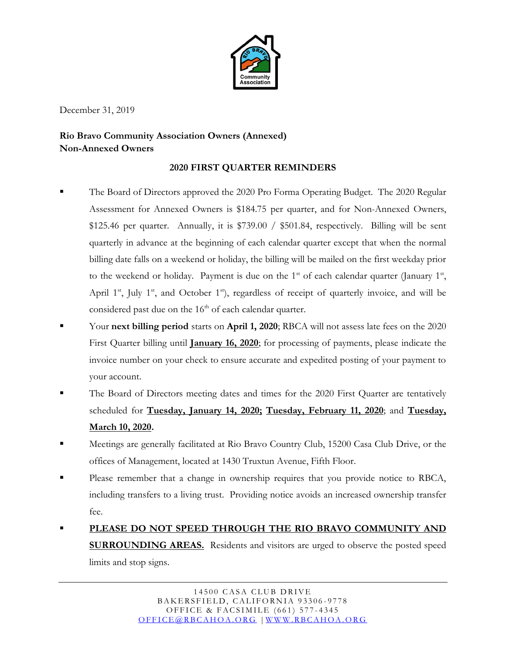

December 31, 2019

## **Rio Bravo Community Association Owners (Annexed) Non-Annexed Owners**

## **2020 FIRST QUARTER REMINDERS**

- The Board of Directors approved the 2020 Pro Forma Operating Budget. The 2020 Regular Assessment for Annexed Owners is \$184.75 per quarter, and for Non-Annexed Owners, \$125.46 per quarter. Annually, it is \$739.00 / \$501.84, respectively. Billing will be sent quarterly in advance at the beginning of each calendar quarter except that when the normal billing date falls on a weekend or holiday, the billing will be mailed on the first weekday prior to the weekend or holiday. Payment is due on the  $1<sup>st</sup>$  of each calendar quarter (January  $1<sup>st</sup>$ , April  $1<sup>st</sup>$ , July  $1<sup>st</sup>$ , and October  $1<sup>st</sup>$ ), regardless of receipt of quarterly invoice, and will be considered past due on the  $16<sup>th</sup>$  of each calendar quarter.
- Your **next billing period** starts on **April 1, 2020**; RBCA will not assess late fees on the 2020 First Quarter billing until **January 16, 2020**; for processing of payments, please indicate the invoice number on your check to ensure accurate and expedited posting of your payment to your account.
- The Board of Directors meeting dates and times for the 2020 First Quarter are tentatively scheduled for **Tuesday, January 14, 2020; Tuesday, February 11, 2020**; and **Tuesday, March 10, 2020.**
- Meetings are generally facilitated at Rio Bravo Country Club, 15200 Casa Club Drive, or the offices of Management, located at 1430 Truxtun Avenue, Fifth Floor.
- Please remember that a change in ownership requires that you provide notice to RBCA, including transfers to a living trust. Providing notice avoids an increased ownership transfer fee.
- **PLEASE DO NOT SPEED THROUGH THE RIO BRAVO COMMUNITY AND SURROUNDING AREAS.** Residents and visitors are urged to observe the posted speed limits and stop signs.